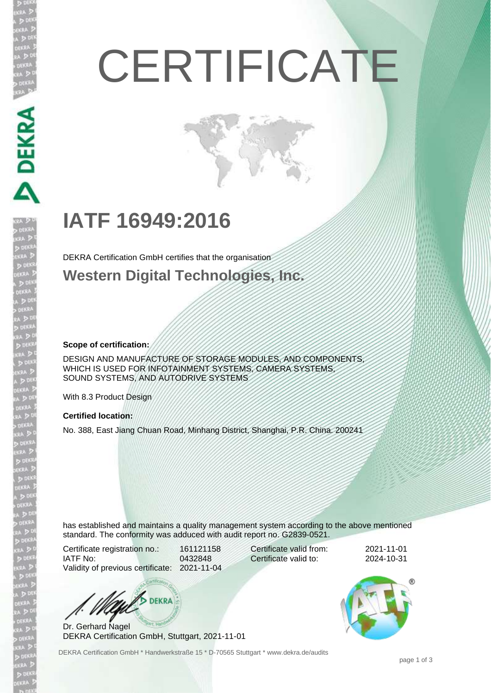# **CERTIFICATE**

## **IATF 16949:2016**

DEKRA Certification GmbH certifies that the organisation

**Western Digital Technologies, Inc.**

**Scope of certification:**

DEKRA

DESIGN AND MANUFACTURE OF STORAGE MODULES, AND COMPONENTS, WHICH IS USED FOR INFOTAINMENT SYSTEMS, CAMERA SYSTEMS, SOUND SYSTEMS, AND AUTODRIVE SYSTEMS

With 8.3 Product Design

#### **Certified location:**

No. 388, East Jiang Chuan Road, Minhang District, Shanghai, P.R. China. 200241

has established and maintains a quality management system according to the above mentioned standard. The conformity was adduced with audit report no. G2839-0521.

Certificate registration no.: 161121158 IATF No: 0432848 Validity of previous certificate: 2021-11-04

Certificate valid from: 2021-11-01 Certificate valid to: 2024-10-31



Dr. Gerhard Nagel DEKRA Certification GmbH, Stuttgart, 2021-11-01

DEKRA Certification GmbH \* Handwerkstraße 15 \* D-70565 Stuttgart \* www.dekra.de/audits



page 1 of 3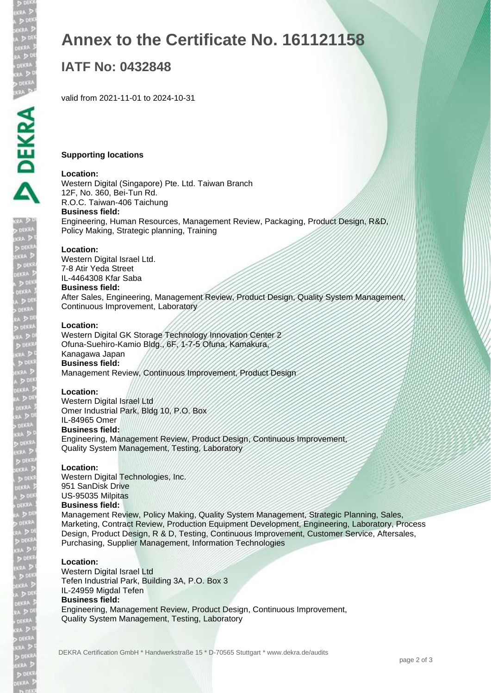S UCH<br>EKRA D<br>EKRA J

D DEK  $50<sup>t</sup>$ DEKR/

d den<br>kra D

**POL** 

A D<sup>e</sup><br>Dekra<br>Dekra<br>Ra D<sup>e</sup><br>Ra D

, dekra<br>kra D<br>Birra D<br>Ekra D<br>Dekra D

 $505$ DEKRA  $>00$ DEKR.

ekaa 2<br>0.138A 1<br>0.138A 1<br>0.158A<br>8A 2

## **Annex to the Certificate No. 161121158**

## **IATF No: 0432848**

valid from 2021-11-01 to 2024-10-31

#### **Supporting locations**

#### **Location:**

Western Digital (Singapore) Pte. Ltd. Taiwan Branch 12F, No. 360, Bei-Tun Rd. R.O.C. Taiwan-406 Taichung **Business field:** Engineering, Human Resources, Management Review, Packaging, Product Design, R&D, Policy Making, Strategic planning, Training

#### **Location:**

Western Digital Israel Ltd. 7-8 Atir Yeda Street IL-4464308 Kfar Saba

#### **Business field:**

After Sales, Engineering, Management Review, Product Design, Quality System Management, Continuous Improvement, Laboratory

#### **Location:**

Western Digital GK Storage Technology Innovation Center 2 Ofuna-Suehiro-Kamio Bldg., 6F, 1-7-5 Ofuna, Kamakura, Kanagawa Japan **Business field:** Management Review, Continuous Improvement, Product Design

#### **Location:**

Western Digital Israel Ltd Omer Industrial Park, Bldg 10, P.O. Box

#### IL-84965 Omer **Business field:**

Engineering, Management Review, Product Design, Continuous Improvement, Quality System Management, Testing, Laboratory

#### **Location:**

Western Digital Technologies, Inc. 951 SanDisk Drive US-95035 Milpitas **Business field:**

Management Review, Policy Making, Quality System Management, Strategic Planning, Sales, Marketing, Contract Review, Production Equipment Development, Engineering, Laboratory, Process Design, Product Design, R & D, Testing, Continuous Improvement, Customer Service, Aftersales, Purchasing, Supplier Management, Information Technologies

#### **Location:**

Western Digital Israel Ltd Tefen Industrial Park, Building 3A, P.O. Box 3 IL-24959 Migdal Tefen **Business field:** Engineering, Management Review, Product Design, Continuous Improvement, Quality System Management, Testing, Laboratory

DEKRA Certification GmbH \* Handwerkstraße 15 \* D-70565 Stuttgart \* www.dekra.de/audits